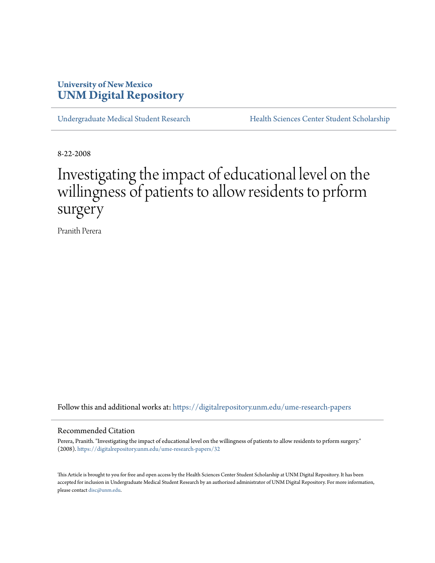# **University of New Mexico [UNM Digital Repository](https://digitalrepository.unm.edu?utm_source=digitalrepository.unm.edu%2Fume-research-papers%2F32&utm_medium=PDF&utm_campaign=PDFCoverPages)**

[Undergraduate Medical Student Research](https://digitalrepository.unm.edu/ume-research-papers?utm_source=digitalrepository.unm.edu%2Fume-research-papers%2F32&utm_medium=PDF&utm_campaign=PDFCoverPages) [Health Sciences Center Student Scholarship](https://digitalrepository.unm.edu/hsc-students?utm_source=digitalrepository.unm.edu%2Fume-research-papers%2F32&utm_medium=PDF&utm_campaign=PDFCoverPages)

8-22-2008

# Investigating the impact of educational level on the willingness of patients to allow residents to prform surgery

Pranith Perera

Follow this and additional works at: [https://digitalrepository.unm.edu/ume-research-papers](https://digitalrepository.unm.edu/ume-research-papers?utm_source=digitalrepository.unm.edu%2Fume-research-papers%2F32&utm_medium=PDF&utm_campaign=PDFCoverPages)

#### Recommended Citation

Perera, Pranith. "Investigating the impact of educational level on the willingness of patients to allow residents to prform surgery." (2008). [https://digitalrepository.unm.edu/ume-research-papers/32](https://digitalrepository.unm.edu/ume-research-papers/32?utm_source=digitalrepository.unm.edu%2Fume-research-papers%2F32&utm_medium=PDF&utm_campaign=PDFCoverPages)

This Article is brought to you for free and open access by the Health Sciences Center Student Scholarship at UNM Digital Repository. It has been accepted for inclusion in Undergraduate Medical Student Research by an authorized administrator of UNM Digital Repository. For more information, please contact [disc@unm.edu.](mailto:disc@unm.edu)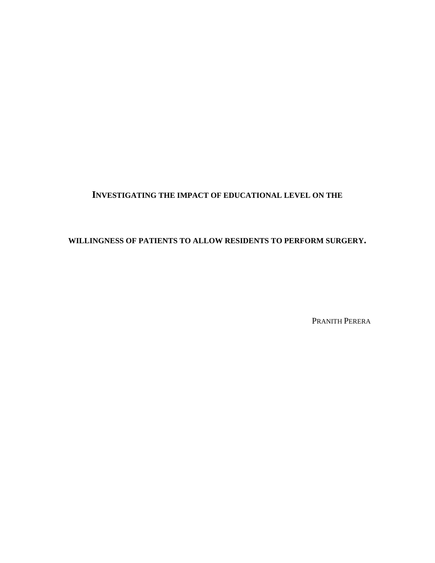## **INVESTIGATING THE IMPACT OF EDUCATIONAL LEVEL ON THE**

## **WILLINGNESS OF PATIENTS TO ALLOW RESIDENTS TO PERFORM SURGERY.**

PRANITH PERERA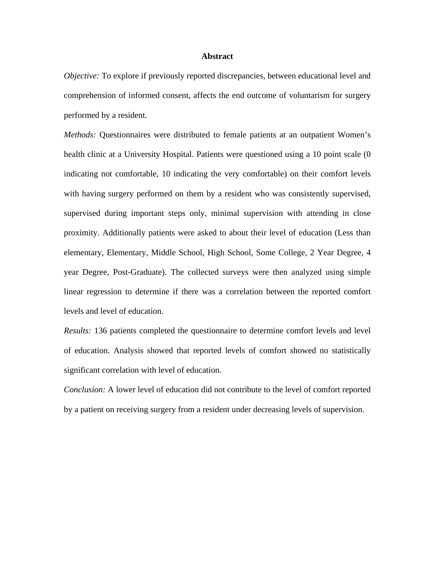#### **Abstract**

*Objective:* To explore if previously reported discrepancies, between educational level and comprehension of informed consent, affects the end outcome of voluntarism for surgery performed by a resident.

*Methods:* Questionnaires were distributed to female patients at an outpatient Women's health clinic at a University Hospital. Patients were questioned using a 10 point scale (0 indicating not comfortable, 10 indicating the very comfortable) on their comfort levels with having surgery performed on them by a resident who was consistently supervised, supervised during important steps only, minimal supervision with attending in close proximity. Additionally patients were asked to about their level of education (Less than elementary, Elementary, Middle School, High School, Some College, 2 Year Degree, 4 year Degree, Post-Graduate). The collected surveys were then analyzed using simple linear regression to determine if there was a correlation between the reported comfort levels and level of education.

*Results:* 136 patients completed the questionnaire to determine comfort levels and level of education. Analysis showed that reported levels of comfort showed no statistically significant correlation with level of education.

*Conclusion:* A lower level of education did not contribute to the level of comfort reported by a patient on receiving surgery from a resident under decreasing levels of supervision.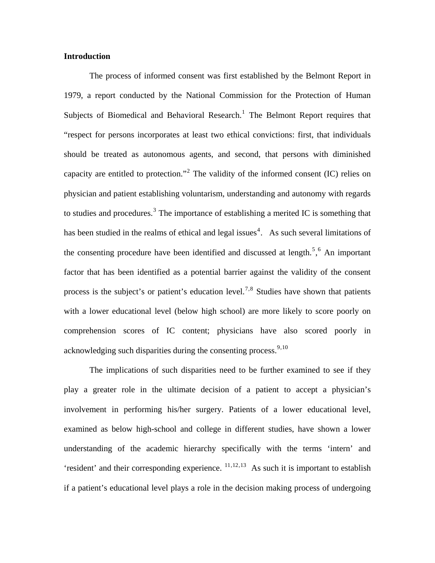#### **Introduction**

The process of informed consent was first established by the Belmont Report in 1979, a report conducted by the National Commission for the Protection of Human Subjects of Biomedical and Behavioral Research.<sup>[1](#page-15-0)</sup> The Belmont Report requires that "respect for persons incorporates at least two ethical convictions: first, that individuals should be treated as autonomous agents, and second, that persons with diminished capacity are entitled to protection."<sup>[2](#page-15-1)</sup> The validity of the informed consent (IC) relies on physician and patient establishing voluntarism, understanding and autonomy with regards to studies and procedures.<sup>[3](#page-15-1)</sup> The importance of establishing a merited IC is something that has been studied in the realms of ethical and legal issues<sup>[4](#page-15-1)</sup>. As such several limitations of the consenting procedure have been identified and discussed at length.<sup>[5](#page-15-1)</sup>,  $6$  An important factor that has been identified as a potential barrier against the validity of the consent process is the subject's or patient's education level.<sup>[7](#page-15-1),[8](#page-15-1)</sup> Studies have shown that patients with a lower educational level (below high school) are more likely to score poorly on comprehension scores of IC content; physicians have also scored poorly in acknowledging such disparities during the consenting process.  $9,10$  $9,10$  $9,10$ 

<span id="page-3-0"></span>The implications of such disparities need to be further examined to see if they play a greater role in the ultimate decision of a patient to accept a physician's involvement in performing his/her surgery. Patients of a lower educational level, examined as below high-school and college in different studies, have shown a lower understanding of the academic hierarchy specifically with the terms 'intern' and 'resident' and their corresponding experience.  $\frac{11,12,13}{11}$  $\frac{11,12,13}{11}$  $\frac{11,12,13}{11}$  $\frac{11,12,13}{11}$  $\frac{11,12,13}{11}$  $\frac{11,12,13}{11}$  $\frac{11,12,13}{11}$  As such it is important to establish if a patient's educational level plays a role in the decision making process of undergoing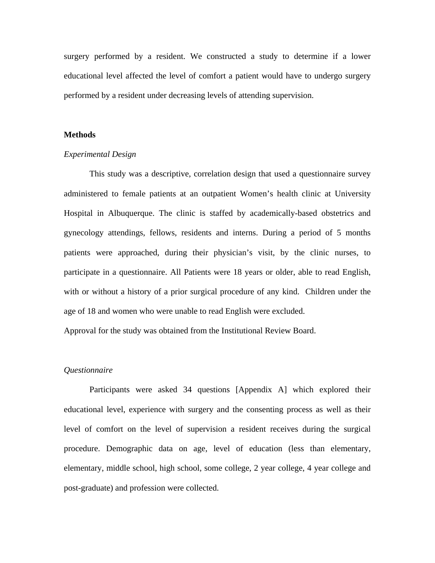surgery performed by a resident. We constructed a study to determine if a lower educational level affected the level of comfort a patient would have to undergo surgery performed by a resident under decreasing levels of attending supervision.

#### **Methods**

#### *Experimental Design*

 This study was a descriptive, correlation design that used a questionnaire survey administered to female patients at an outpatient Women's health clinic at University Hospital in Albuquerque. The clinic is staffed by academically-based obstetrics and gynecology attendings, fellows, residents and interns. During a period of 5 months patients were approached, during their physician's visit, by the clinic nurses, to participate in a questionnaire. All Patients were 18 years or older, able to read English, with or without a history of a prior surgical procedure of any kind. Children under the age of 18 and women who were unable to read English were excluded.

Approval for the study was obtained from the Institutional Review Board.

#### *Questionnaire*

 Participants were asked 34 questions [Appendix A] which explored their educational level, experience with surgery and the consenting process as well as their level of comfort on the level of supervision a resident receives during the surgical procedure. Demographic data on age, level of education (less than elementary, elementary, middle school, high school, some college, 2 year college, 4 year college and post-graduate) and profession were collected.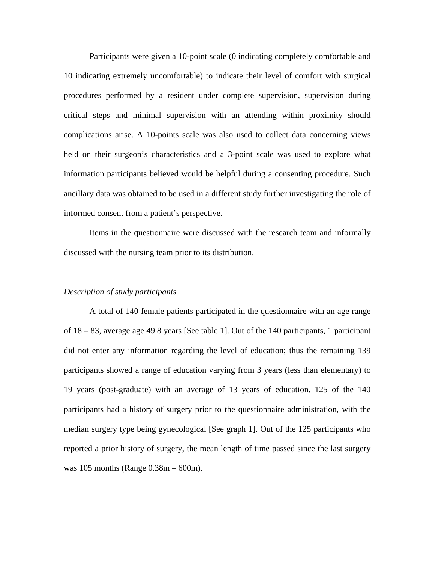Participants were given a 10-point scale (0 indicating completely comfortable and 10 indicating extremely uncomfortable) to indicate their level of comfort with surgical procedures performed by a resident under complete supervision, supervision during critical steps and minimal supervision with an attending within proximity should complications arise. A 10-points scale was also used to collect data concerning views held on their surgeon's characteristics and a 3-point scale was used to explore what information participants believed would be helpful during a consenting procedure. Such ancillary data was obtained to be used in a different study further investigating the role of informed consent from a patient's perspective.

 Items in the questionnaire were discussed with the research team and informally discussed with the nursing team prior to its distribution.

#### *Description of study participants*

 A total of 140 female patients participated in the questionnaire with an age range of 18 – 83, average age 49.8 years [See table 1]. Out of the 140 participants, 1 participant did not enter any information regarding the level of education; thus the remaining 139 participants showed a range of education varying from 3 years (less than elementary) to 19 years (post-graduate) with an average of 13 years of education. 125 of the 140 participants had a history of surgery prior to the questionnaire administration, with the median surgery type being gynecological [See graph 1]. Out of the 125 participants who reported a prior history of surgery, the mean length of time passed since the last surgery was 105 months (Range 0.38m – 600m).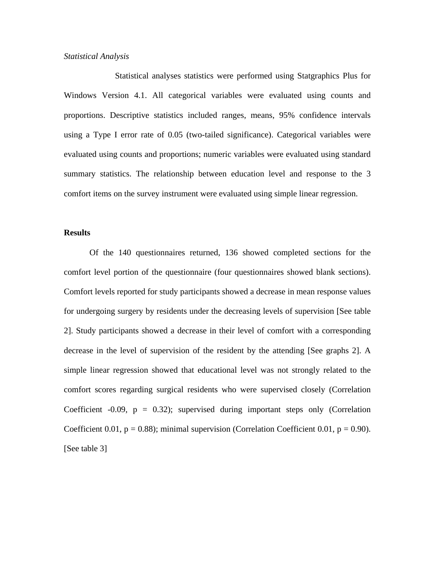#### *Statistical Analysis*

 Statistical analyses statistics were performed using Statgraphics Plus for Windows Version 4.1. All categorical variables were evaluated using counts and proportions. Descriptive statistics included ranges, means, 95% confidence intervals using a Type I error rate of 0.05 (two-tailed significance). Categorical variables were evaluated using counts and proportions; numeric variables were evaluated using standard summary statistics. The relationship between education level and response to the 3 comfort items on the survey instrument were evaluated using simple linear regression.

#### **Results**

 Of the 140 questionnaires returned, 136 showed completed sections for the comfort level portion of the questionnaire (four questionnaires showed blank sections). Comfort levels reported for study participants showed a decrease in mean response values for undergoing surgery by residents under the decreasing levels of supervision [See table 2]. Study participants showed a decrease in their level of comfort with a corresponding decrease in the level of supervision of the resident by the attending [See graphs 2]. A simple linear regression showed that educational level was not strongly related to the comfort scores regarding surgical residents who were supervised closely (Correlation Coefficient -0.09,  $p = 0.32$ ); supervised during important steps only (Correlation Coefficient 0.01,  $p = 0.88$ ); minimal supervision (Correlation Coefficient 0.01,  $p = 0.90$ ). [See table 3]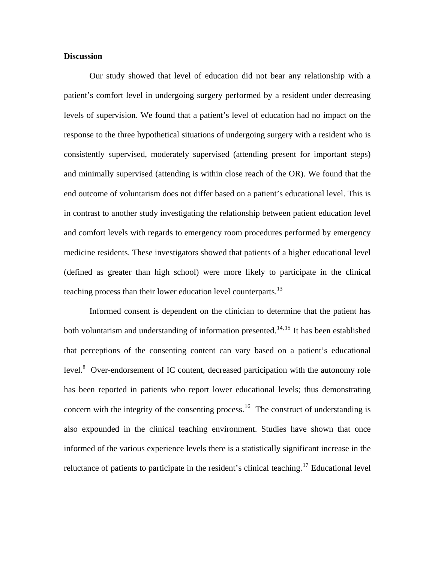#### **Discussion**

Our study showed that level of education did not bear any relationship with a patient's comfort level in undergoing surgery performed by a resident under decreasing levels of supervision. We found that a patient's level of education had no impact on the response to the three hypothetical situations of undergoing surgery with a resident who is consistently supervised, moderately supervised (attending present for important steps) and minimally supervised (attending is within close reach of the OR). We found that the end outcome of voluntarism does not differ based on a patient's educational level. This is in contrast to another study investigating the relationship between patient education level and comfort levels with regards to emergency room procedures performed by emergency medicine residents. These investigators showed that patients of a higher educational level (defined as greater than high school) were more likely to participate in the clinical teaching process than their lower education level counterparts.<sup>13</sup>

 Informed consent is dependent on the clinician to determine that the patient has both voluntarism and understanding of information presented.<sup>[14](#page-15-1),[15](#page-15-1)</sup> It has been established that perceptions of the consenting content can vary based on a patient's educational level. $8$  Over-endorsement of IC content, decreased participation with the autonomy role has been reported in patients who report lower educational levels; thus demonstrating concern with the integrity of the consenting process.<sup>[16](#page-15-1)</sup> The construct of understanding is also expounded in the clinical teaching environment. Studies have shown that once informed of the various experience levels there is a statistically significant increase in the reluctance of patients to participate in the resident's clinical teaching.<sup>[17](#page-15-1)</sup> Educational level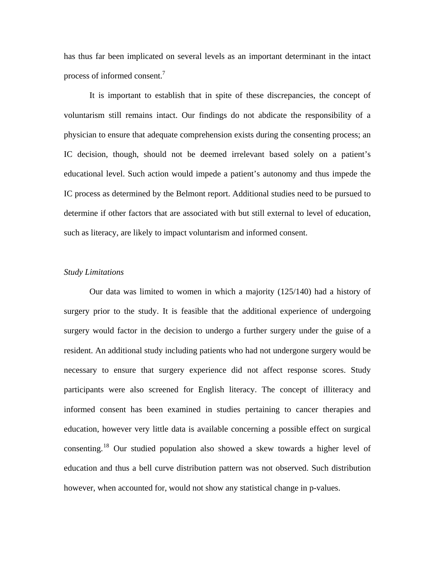has thus far been implicated on several levels as an important determinant in the intact process of informed consent.<sup>[7](#page-3-0)</sup>

 It is important to establish that in spite of these discrepancies, the concept of voluntarism still remains intact. Our findings do not abdicate the responsibility of a physician to ensure that adequate comprehension exists during the consenting process; an IC decision, though, should not be deemed irrelevant based solely on a patient's educational level. Such action would impede a patient's autonomy and thus impede the IC process as determined by the Belmont report. Additional studies need to be pursued to determine if other factors that are associated with but still external to level of education, such as literacy, are likely to impact voluntarism and informed consent.

#### *Study Limitations*

Our data was limited to women in which a majority (125/140) had a history of surgery prior to the study. It is feasible that the additional experience of undergoing surgery would factor in the decision to undergo a further surgery under the guise of a resident. An additional study including patients who had not undergone surgery would be necessary to ensure that surgery experience did not affect response scores. Study participants were also screened for English literacy. The concept of illiteracy and informed consent has been examined in studies pertaining to cancer therapies and education, however very little data is available concerning a possible effect on surgical consenting.[18](#page-15-1) Our studied population also showed a skew towards a higher level of education and thus a bell curve distribution pattern was not observed. Such distribution however, when accounted for, would not show any statistical change in p-values.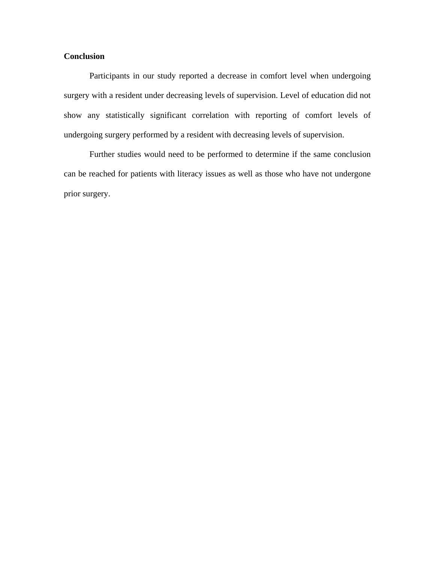### **Conclusion**

Participants in our study reported a decrease in comfort level when undergoing surgery with a resident under decreasing levels of supervision. Level of education did not show any statistically significant correlation with reporting of comfort levels of undergoing surgery performed by a resident with decreasing levels of supervision.

Further studies would need to be performed to determine if the same conclusion can be reached for patients with literacy issues as well as those who have not undergone prior surgery.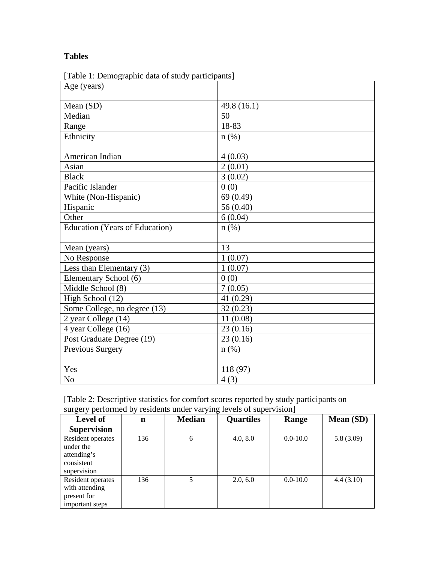## **Tables**

| $\left[1000, 1, 10000, 1000, 1000, 1000, 1000, 1000, 1000, 1000, 1000, 1000, 1000, 1000, 1000, 1000, 1000, 1000, 1000, 1000, 1000, 1000, 1000, 1000, 1000, 1000, 1000, 1000, 1000, 1000, 1000, 1000, 1000, 1000, 1000, 1000, 100$<br>Age (years) |               |
|--------------------------------------------------------------------------------------------------------------------------------------------------------------------------------------------------------------------------------------------------|---------------|
|                                                                                                                                                                                                                                                  |               |
| Mean (SD)                                                                                                                                                                                                                                        | 49.8 $(16.1)$ |
| Median                                                                                                                                                                                                                                           | 50            |
| Range                                                                                                                                                                                                                                            | 18-83         |
| Ethnicity                                                                                                                                                                                                                                        | $n$ (%)       |
|                                                                                                                                                                                                                                                  |               |
| American Indian                                                                                                                                                                                                                                  | 4(0.03)       |
| Asian                                                                                                                                                                                                                                            | 2(0.01)       |
| <b>Black</b>                                                                                                                                                                                                                                     | 3(0.02)       |
| Pacific Islander                                                                                                                                                                                                                                 | 0(0)          |
| White (Non-Hispanic)                                                                                                                                                                                                                             | 69 (0.49)     |
| Hispanic                                                                                                                                                                                                                                         | 56(0.40)      |
| Other                                                                                                                                                                                                                                            | 6(0.04)       |
| Education (Years of Education)                                                                                                                                                                                                                   | $n$ (%)       |
|                                                                                                                                                                                                                                                  |               |
| Mean (years)                                                                                                                                                                                                                                     | 13            |
| No Response                                                                                                                                                                                                                                      | 1(0.07)       |
| Less than Elementary (3)                                                                                                                                                                                                                         | 1(0.07)       |
| Elementary School (6)                                                                                                                                                                                                                            | 0(0)          |
| Middle School (8)                                                                                                                                                                                                                                | 7(0.05)       |
| High School (12)                                                                                                                                                                                                                                 | 41 $(0.29)$   |
| Some College, no degree (13)                                                                                                                                                                                                                     | 32(0.23)      |
| 2 year College (14)                                                                                                                                                                                                                              | 11(0.08)      |
| 4 year College (16)                                                                                                                                                                                                                              | 23(0.16)      |
| Post Graduate Degree (19)                                                                                                                                                                                                                        | 23(0.16)      |
| Previous Surgery                                                                                                                                                                                                                                 | $n$ (%)       |
|                                                                                                                                                                                                                                                  |               |
| Yes                                                                                                                                                                                                                                              | 118 (97)      |
| N <sub>o</sub>                                                                                                                                                                                                                                   | 4(3)          |

[Table 1: Demographic data of study participants]

| [Table 2: Descriptive statistics for comfort scores reported by study participants on |  |
|---------------------------------------------------------------------------------------|--|
| surgery performed by residents under varying levels of supervision]                   |  |

| <b>Level of</b>                                                            | n   | <b>Median</b> | <b>Quartiles</b> | Range        | <b>Mean (SD)</b> |
|----------------------------------------------------------------------------|-----|---------------|------------------|--------------|------------------|
| <b>Supervision</b>                                                         |     |               |                  |              |                  |
| Resident operates<br>under the<br>attending's<br>consistent<br>supervision | 136 | 6             | 4.0, 8.0         | $0.0 - 10.0$ | 5.8(3.09)        |
| Resident operates<br>with attending<br>present for<br>important steps      | 136 |               | 2.0, 6.0         | $0.0 - 10.0$ | 4.4(3.10)        |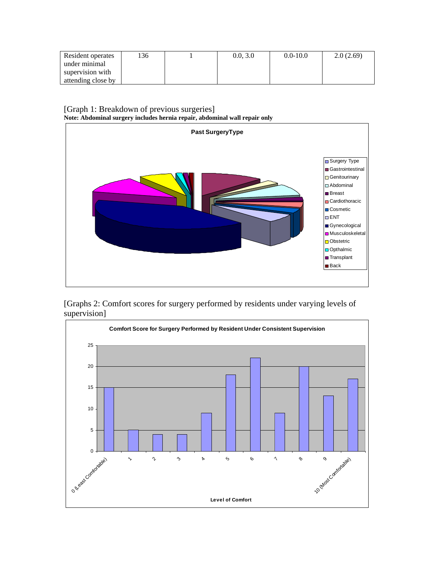| Resident operates  | 136 | 0.0.3.0 | $0.0 - 10.0$ | 2.0(2.69) |
|--------------------|-----|---------|--------------|-----------|
| under minimal      |     |         |              |           |
| supervision with   |     |         |              |           |
| attending close by |     |         |              |           |

[Graph 1: Breakdown of previous surgeries] **Note: Abdominal surgery includes hernia repair, abdominal wall repair only** 



[Graphs 2: Comfort scores for surgery performed by residents under varying levels of supervision]

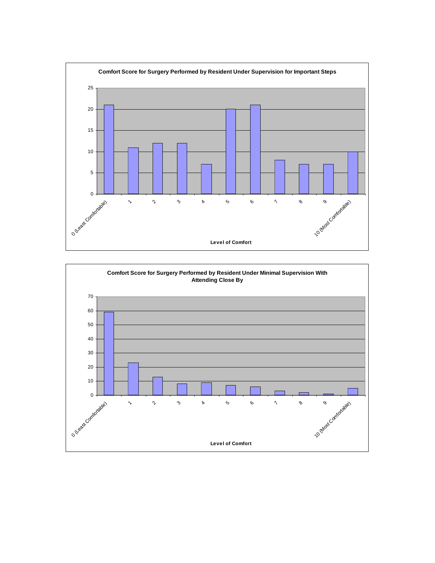

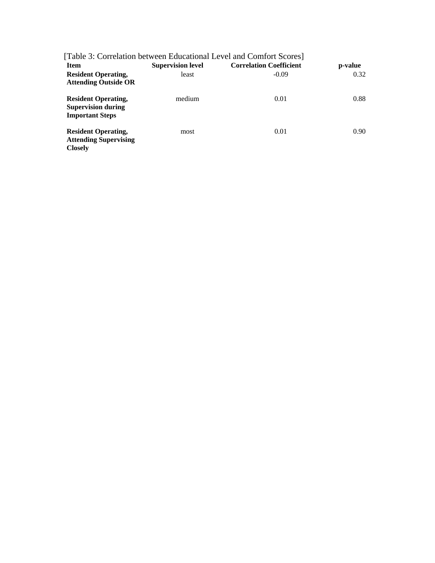|                                                                                   |                          | [Table 3: Correlation between Educational Level and Comfort Scores] |                   |
|-----------------------------------------------------------------------------------|--------------------------|---------------------------------------------------------------------|-------------------|
| <b>Item</b>                                                                       | <b>Supervision level</b> | <b>Correlation Coefficient</b>                                      | p-value           |
| <b>Resident Operating,</b><br><b>Attending Outside OR</b>                         | least                    | $-0.09$                                                             | 0.32              |
| <b>Resident Operating,</b><br><b>Supervision during</b><br><b>Important Steps</b> | medium                   | 0.01                                                                | 0.88              |
| <b>Resident Operating,</b><br><b>Attending Supervising</b><br><b>Closely</b>      | most                     | 0.01                                                                | 0.90 <sub>1</sub> |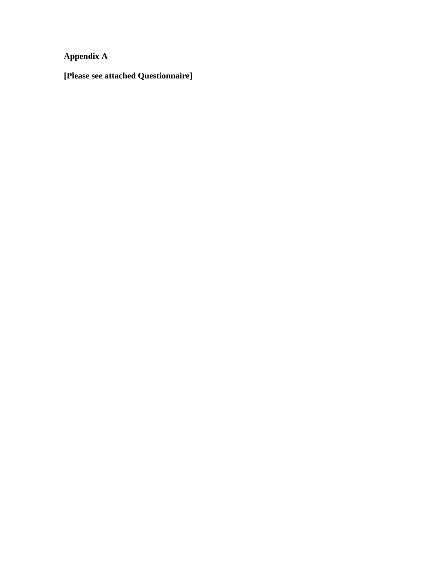**Appendix A** 

**[Please see attached Questionnaire]**